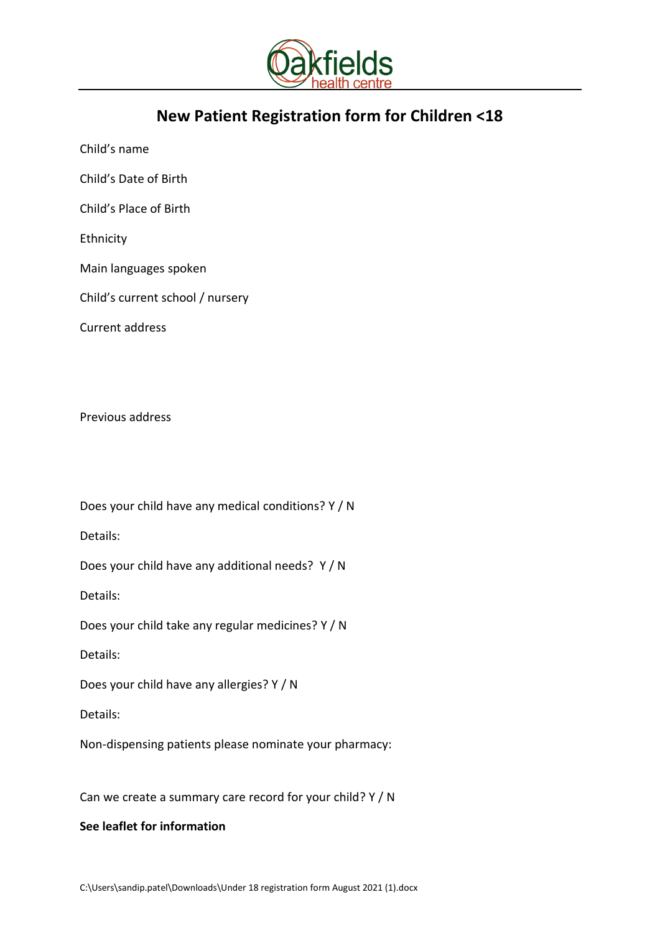

# **New Patient Registration form for Children <18**

Child's name

Child's Date of Birth

Child's Place of Birth

Ethnicity

Main languages spoken

Child's current school / nursery

Current address

Previous address

Does your child have any medical conditions? Y / N

Details:

Does your child have any additional needs? Y / N

Details:

Does your child take any regular medicines? Y / N

Details:

Does your child have any allergies? Y / N

Details:

Non-dispensing patients please nominate your pharmacy:

Can we create a summary care record for your child? Y / N

## **See leaflet for information**